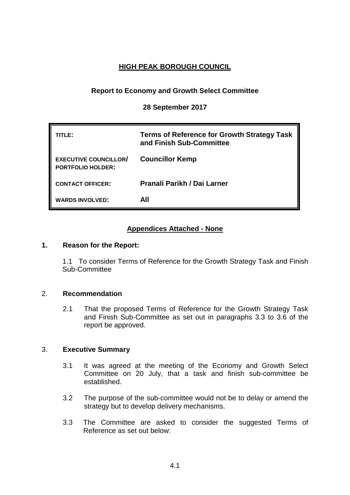# **HIGH PEAK BOROUGH COUNCIL**

## **Report to Economy and Growth Select Committee**

**28 September 2017**

| TITL F:                                                  | <b>Terms of Reference for Growth Strategy Task</b><br>and Finish Sub-Committee |
|----------------------------------------------------------|--------------------------------------------------------------------------------|
| <b>EXECUTIVE COUNCILLOR/</b><br><b>PORTFOLIO HOLDER:</b> | <b>Councillor Kemp</b>                                                         |
| <b>CONTACT OFFICER:</b>                                  | Pranali Parikh / Dai Larner                                                    |
| <b>WARDS INVOLVED:</b>                                   | AII                                                                            |

## **Appendices Attached - None**

### **1. Reason for the Report:**

1.1 To consider Terms of Reference for the Growth Strategy Task and Finish Sub-Committee

### 2. **Recommendation**

2.1 That the proposed Terms of Reference for the Growth Strategy Task and Finish Sub-Committee as set out in paragraphs 3.3 to 3.6 of the report be approved.

### 3. **Executive Summary**

- 3.1 It was agreed at the meeting of the Economy and Growth Select Committee on 20 July, that a task and finish sub-committee be established.
- 3.2 The purpose of the sub-committee would not be to delay or amend the strategy but to develop delivery mechanisms.
- 3.3 The Committee are asked to consider the suggested Terms of Reference as set out below: